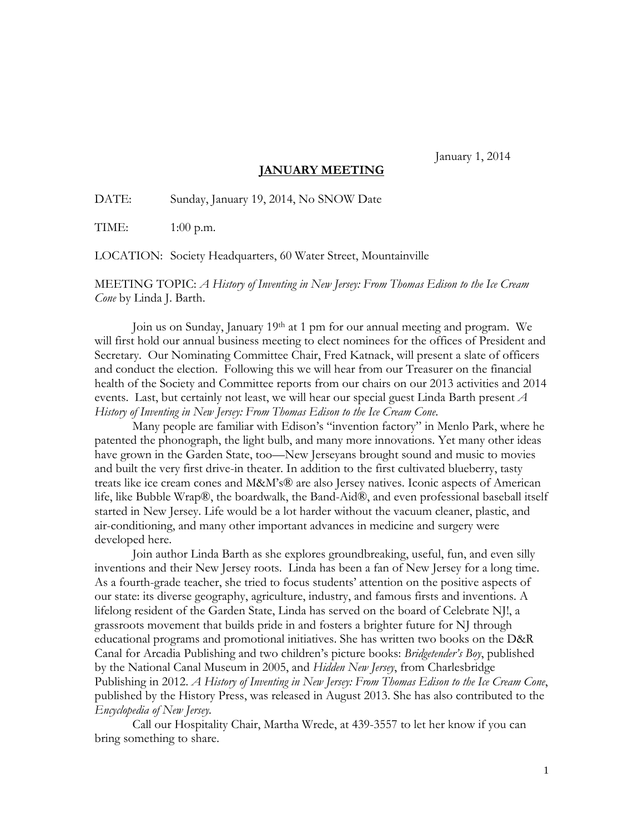January 1, 2014

## **JANUARY MEETING**

DATE: Sunday, January 19, 2014, No SNOW Date

TIME: 1:00 p.m.

LOCATION: Society Headquarters, 60 Water Street, Mountainville

MEETING TOPIC: *A History of Inventing in New Jersey: From Thomas Edison to the Ice Cream Cone* by Linda J. Barth.

Join us on Sunday, January 19th at 1 pm for our annual meeting and program. We will first hold our annual business meeting to elect nominees for the offices of President and Secretary. Our Nominating Committee Chair, Fred Katnack, will present a slate of officers and conduct the election. Following this we will hear from our Treasurer on the financial health of the Society and Committee reports from our chairs on our 2013 activities and 2014 events. Last, but certainly not least, we will hear our special guest Linda Barth present *A History of Inventing in New Jersey: From Thomas Edison to the Ice Cream Cone*.

Many people are familiar with Edison's "invention factory" in Menlo Park, where he patented the phonograph, the light bulb, and many more innovations. Yet many other ideas have grown in the Garden State, too—New Jerseyans brought sound and music to movies and built the very first drive-in theater. In addition to the first cultivated blueberry, tasty treats like ice cream cones and M&M's® are also Jersey natives. Iconic aspects of American life, like Bubble Wrap®, the boardwalk, the Band-Aid®, and even professional baseball itself started in New Jersey. Life would be a lot harder without the vacuum cleaner, plastic, and air-conditioning, and many other important advances in medicine and surgery were developed here.

 Join author Linda Barth as she explores groundbreaking, useful, fun, and even silly inventions and their New Jersey roots. Linda has been a fan of New Jersey for a long time. As a fourth-grade teacher, she tried to focus students' attention on the positive aspects of our state: its diverse geography, agriculture, industry, and famous firsts and inventions. A lifelong resident of the Garden State, Linda has served on the board of Celebrate NJ!, a grassroots movement that builds pride in and fosters a brighter future for NJ through educational programs and promotional initiatives. She has written two books on the D&R Canal for Arcadia Publishing and two children's picture books: *Bridgetender's Boy*, published by the National Canal Museum in 2005, and *Hidden New Jersey*, from Charlesbridge Publishing in 2012. *A History of Inventing in New Jersey: From Thomas Edison to the Ice Cream Cone*, published by the History Press, was released in August 2013. She has also contributed to the *Encyclopedia of New Jersey.* 

Call our Hospitality Chair, Martha Wrede, at 439-3557 to let her know if you can bring something to share.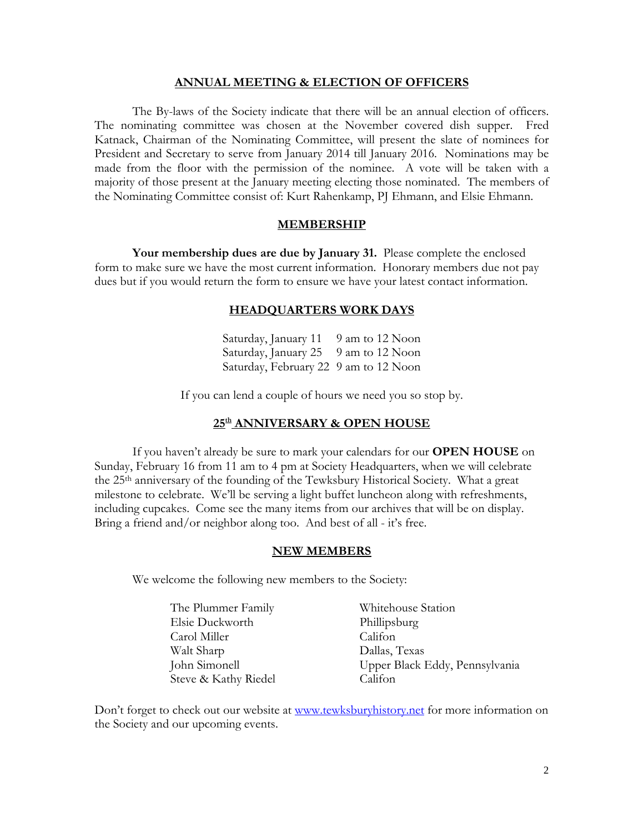## **ANNUAL MEETING & ELECTION OF OFFICERS**

The By-laws of the Society indicate that there will be an annual election of officers. The nominating committee was chosen at the November covered dish supper. Fred Katnack, Chairman of the Nominating Committee, will present the slate of nominees for President and Secretary to serve from January 2014 till January 2016. Nominations may be made from the floor with the permission of the nominee. A vote will be taken with a majority of those present at the January meeting electing those nominated. The members of the Nominating Committee consist of: Kurt Rahenkamp, PJ Ehmann, and Elsie Ehmann.

#### **MEMBERSHIP**

**Your membership dues are due by January 31.** Please complete the enclosed form to make sure we have the most current information. Honorary members due not pay dues but if you would return the form to ensure we have your latest contact information.

## **HEADQUARTERS WORK DAYS**

Saturday, January 11 9 am to 12 Noon Saturday, January 25 9 am to 12 Noon Saturday, February 22 9 am to 12 Noon

If you can lend a couple of hours we need you so stop by.

## **25th ANNIVERSARY & OPEN HOUSE**

If you haven't already be sure to mark your calendars for our **OPEN HOUSE** on Sunday, February 16 from 11 am to 4 pm at Society Headquarters, when we will celebrate the 25th anniversary of the founding of the Tewksbury Historical Society. What a great milestone to celebrate. We'll be serving a light buffet luncheon along with refreshments, including cupcakes. Come see the many items from our archives that will be on display. Bring a friend and/or neighbor along too. And best of all - it's free.

### **NEW MEMBERS**

We welcome the following new members to the Society:

| The Plummer Family   | Whitehouse Station             |
|----------------------|--------------------------------|
| Elsie Duckworth      | Phillipsburg                   |
| Carol Miller         | Califon                        |
| Walt Sharp           | Dallas, Texas                  |
| John Simonell        | Upper Black Eddy, Pennsylvania |
| Steve & Kathy Riedel | Califon                        |

Don't forget to check out our website at [www.tewksburyhistory.net](http://www.tewksburyhistory.net/) for more information on the Society and our upcoming events.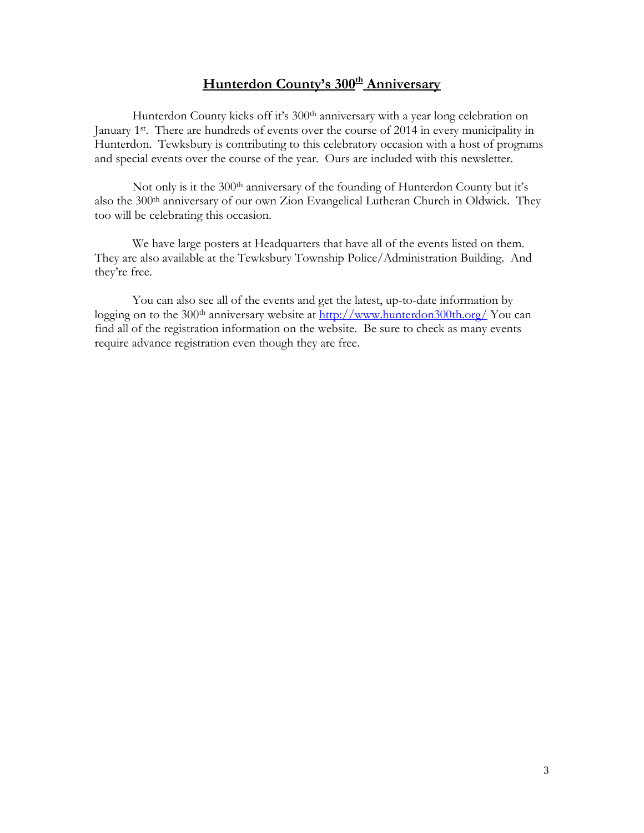# **Hunterdon County's 300<sup>th</sup> Anniversary**

Hunterdon County kicks off it's 300<sup>th</sup> anniversary with a year long celebration on January 1st. There are hundreds of events over the course of 2014 in every municipality in Hunterdon. Tewksbury is contributing to this celebratory occasion with a host of programs and special events over the course of the year. Ours are included with this newsletter.

Not only is it the 300<sup>th</sup> anniversary of the founding of Hunterdon County but it's also the 300<sup>th</sup> anniversary of our own Zion Evangelical Lutheran Church in Oldwick. They too will be celebrating this occasion.

We have large posters at Headquarters that have all of the events listed on them. They are also available at the Tewksbury Township Police/Administration Building. And they're free.

You can also see all of the events and get the latest, up-to-date information by logging on to the 300<sup>th</sup> anniversary website at<http://www.hunterdon300th.org/> You can find all of the registration information on the website. Be sure to check as many events require advance registration even though they are free.